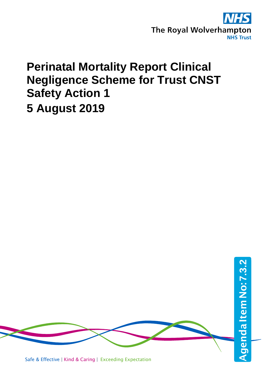

# **Perinatal Mortality Report Clinical Negligence Scheme for Trust CNST Safety Action 1 5 August 2019**



Safe & Effective | Kind & Caring | Exceeding Expectation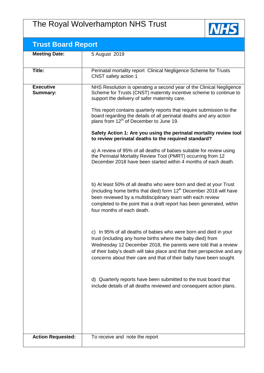# The Royal Wolverhampton NHS Trust



| <b>Trust Board Report</b>           |                                                                                                                                                                                                                                                                                                                                                     |  |  |  |
|-------------------------------------|-----------------------------------------------------------------------------------------------------------------------------------------------------------------------------------------------------------------------------------------------------------------------------------------------------------------------------------------------------|--|--|--|
| <b>Meeting Date:</b>                | 5 August 2019                                                                                                                                                                                                                                                                                                                                       |  |  |  |
| Title:                              | Perinatal mortality report Clinical Negligence Scheme for Trusts<br>CNST safety action 1                                                                                                                                                                                                                                                            |  |  |  |
| <b>Executive</b><br><b>Summary:</b> | NHS Resolution is operating a second year of the Clinical Negligence<br>Scheme for Trusts (CNST) maternity incentive scheme to continue to<br>support the delivery of safer maternity care.                                                                                                                                                         |  |  |  |
|                                     | This report contains quarterly reports that require submission to the<br>board regarding the details of all perinatal deaths and any action<br>plans from 12 <sup>th</sup> of December to June 19.                                                                                                                                                  |  |  |  |
|                                     | Safety Action 1: Are you using the perinatal mortality review tool<br>to review perinatal deaths to the required standard?                                                                                                                                                                                                                          |  |  |  |
|                                     | a) A review of 95% of all deaths of babies suitable for review using<br>the Perinatal Mortality Review Tool (PMRT) occurring from 12<br>December 2018 have been started within 4 months of each death.                                                                                                                                              |  |  |  |
|                                     | b) At least 50% of all deaths who were born and died at your Trust<br>(including home births that died) form 12 <sup>th</sup> December 2018 will have<br>been reviewed by a multidisciplinary team with each review<br>completed to the point that a draft report has been generated, within<br>four months of each death.                          |  |  |  |
|                                     | c) In 95% of all deaths of babies who were born and died in your<br>trust (including any home births where the baby died) from<br>Wednesday 12 December 2018, the parents were told that a review<br>of their baby's death will take place and that their perspective and any<br>concerns about their care and that of their baby have been sought. |  |  |  |
|                                     | d) Quarterly reports have been submitted to the trust board that<br>include details of all deaths reviewed and consequent action plans.                                                                                                                                                                                                             |  |  |  |
|                                     |                                                                                                                                                                                                                                                                                                                                                     |  |  |  |
| <b>Action Requested:</b>            | To receive and note the report                                                                                                                                                                                                                                                                                                                      |  |  |  |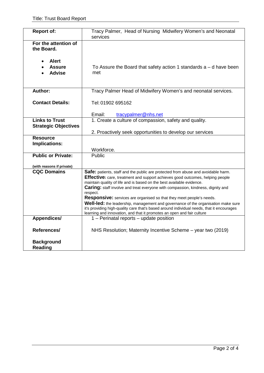| <b>Report of:</b>                                    | Tracy Palmer, Head of Nursing Midwifery Women's and Neonatal<br>services                                                                                                                                                                                                                                                                                                                                                                                                                                                                                                                                                                                                              |
|------------------------------------------------------|---------------------------------------------------------------------------------------------------------------------------------------------------------------------------------------------------------------------------------------------------------------------------------------------------------------------------------------------------------------------------------------------------------------------------------------------------------------------------------------------------------------------------------------------------------------------------------------------------------------------------------------------------------------------------------------|
| For the attention of<br>the Board.                   |                                                                                                                                                                                                                                                                                                                                                                                                                                                                                                                                                                                                                                                                                       |
| <b>Alert</b><br><b>Assure</b><br><b>Advise</b>       | To Assure the Board that safety action 1 standards $a - d$ have been<br>met                                                                                                                                                                                                                                                                                                                                                                                                                                                                                                                                                                                                           |
| <b>Author:</b>                                       | Tracy Palmer Head of Midwifery Women's and neonatal services.                                                                                                                                                                                                                                                                                                                                                                                                                                                                                                                                                                                                                         |
| <b>Contact Details:</b>                              | Tel: 01902 695162                                                                                                                                                                                                                                                                                                                                                                                                                                                                                                                                                                                                                                                                     |
|                                                      | Email:<br>tracypalmer@nhs.net                                                                                                                                                                                                                                                                                                                                                                                                                                                                                                                                                                                                                                                         |
| <b>Links to Trust</b><br><b>Strategic Objectives</b> | 1. Create a culture of compassion, safety and quality.                                                                                                                                                                                                                                                                                                                                                                                                                                                                                                                                                                                                                                |
|                                                      | 2. Proactively seek opportunities to develop our services                                                                                                                                                                                                                                                                                                                                                                                                                                                                                                                                                                                                                             |
| <b>Resource</b><br><b>Implications:</b>              | Workforce.                                                                                                                                                                                                                                                                                                                                                                                                                                                                                                                                                                                                                                                                            |
| <b>Public or Private:</b>                            | Public                                                                                                                                                                                                                                                                                                                                                                                                                                                                                                                                                                                                                                                                                |
| (with reasons if private)                            |                                                                                                                                                                                                                                                                                                                                                                                                                                                                                                                                                                                                                                                                                       |
| <b>CQC Domains</b>                                   | Safe: patients, staff and the public are protected from abuse and avoidable harm.<br>Effective: care, treatment and support achieves good outcomes, helping people<br>maintain quality of life and is based on the best available evidence.<br>Caring: staff involve and treat everyone with compassion, kindness, dignity and<br>respect.<br><b>Responsive:</b> services are organised so that they meet people's needs.<br>Well-led: the leadership, management and governance of the organisation make sure<br>it's providing high-quality care that's based around individual needs, that it encourages<br>learning and innovation, and that it promotes an open and fair culture |
| Appendices/                                          | 1 - Perinatal reports - update position                                                                                                                                                                                                                                                                                                                                                                                                                                                                                                                                                                                                                                               |
| References/                                          | NHS Resolution; Maternity Incentive Scheme - year two (2019)                                                                                                                                                                                                                                                                                                                                                                                                                                                                                                                                                                                                                          |
| <b>Background</b><br><b>Reading</b>                  |                                                                                                                                                                                                                                                                                                                                                                                                                                                                                                                                                                                                                                                                                       |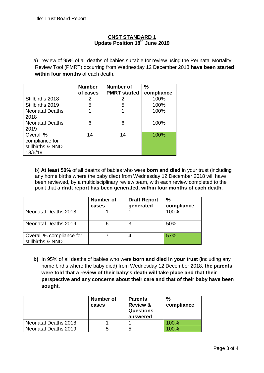# **CNST STANDARD 1 Update Position 18th June 2019**

a) review of 95% of all deaths of babies suitable for review using the Perinatal Mortality Review Tool (PMRT) occurring from Wednesday 12 December 2018 **have been started within four months** of each death.

|                        | <b>Number</b> | <b>Number of</b>    | $\frac{0}{0}$ |
|------------------------|---------------|---------------------|---------------|
|                        | of cases      | <b>PMRT</b> started | compliance    |
| Stillbirths 2018       | 2             | 2                   | 100%          |
| Stillbirths 2019       | 5             | 5                   | 100%          |
| <b>Neonatal Deaths</b> |               |                     | 100%          |
| 2018                   |               |                     |               |
| <b>Neonatal Deaths</b> | 6             | 6                   | 100%          |
| 2019                   |               |                     |               |
| Overall %              | 14            | 14                  | 100%          |
| compliance for         |               |                     |               |
| stillbirths & NND      |               |                     |               |
| 18/6/19                |               |                     |               |

b) **At least 50%** of all deaths of babies who were **born and died** in your trust (including any home births where the baby died) from Wednesday 12 December 2018 will have been reviewed, by a multidisciplinary review team, with each review completed to the point that a **draft report has been generated, within four months of each death.** 

|                                               | <b>Number of</b><br>cases | <b>Draft Report</b><br>generated | $\frac{0}{0}$<br>compliance |
|-----------------------------------------------|---------------------------|----------------------------------|-----------------------------|
| Neonatal Deaths 2018                          |                           |                                  | 100%                        |
| Neonatal Deaths 2019                          |                           | 3                                | 50%                         |
| Overall % compliance for<br>stillbirths & NND |                           |                                  | .57%                        |

**b)** In 95% of all deaths of babies who were **born and died in your trust** (including any home births where the baby died) from Wednesday 12 December 2018, **the parents were told that a review of their baby's death will take place and that their perspective and any concerns about their care and that of their baby have been sought.** 

|                      | Number of<br>cases | <b>Parents</b><br><b>Review &amp;</b><br><b>Questions</b><br>answered | $\%$<br>compliance |
|----------------------|--------------------|-----------------------------------------------------------------------|--------------------|
| Neonatal Deaths 2018 |                    |                                                                       | 100%               |
| Neonatal Deaths 2019 |                    | 5                                                                     | 100%               |